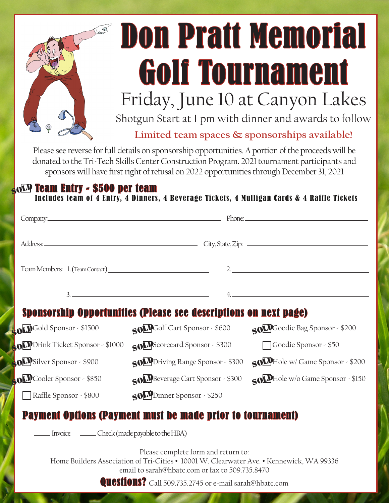

## Don Pratt Memorial Golf Tournament Friday, June 10 at Canyon Lakes

Shotgun Start at 1 pm with dinner and awards to follow

**Limited team spaces & sponsorships available!**

Please see reverse for full details on sponsorship opportunities. A portion of the proceeds will be donated to the Tri-Tech Skills Center Construction Program. 2021 tournament participants and sponsors will have first right of refusal on 2022 opportunities through December 31, 2021

## $\frac{1}{5}$ o $\overline{\mathbf{D}}$  Team Entry - \$500 per team

Includes team of 4 Entry, 4 Dinners, 4 Beverage Tickets, 4 Mulligan Cards & 4 Raffle Tickets

|                                                                                                                                                                                                                                                     | Company. Phone: Phone: Phone: Phone: Phone: Phone: Phone: Phone: Phone: Phone: Phone: Phone: Phone: Phone: Phone: Phone: Phone: Phone: Phone: Phone: Phone: Phone: Phone: Phone: Phone: Phone: Phone: Phone: Phone: Phone: Pho |                                   |
|-----------------------------------------------------------------------------------------------------------------------------------------------------------------------------------------------------------------------------------------------------|--------------------------------------------------------------------------------------------------------------------------------------------------------------------------------------------------------------------------------|-----------------------------------|
|                                                                                                                                                                                                                                                     |                                                                                                                                                                                                                                |                                   |
|                                                                                                                                                                                                                                                     |                                                                                                                                                                                                                                | $2\frac{1}{2}$                    |
|                                                                                                                                                                                                                                                     |                                                                                                                                                                                                                                |                                   |
| 3.<br>Sponsorship Opportunities (Please see descriptions on next page)                                                                                                                                                                              |                                                                                                                                                                                                                                |                                   |
| <b>COLD</b> Gold Sponsor - \$1500                                                                                                                                                                                                                   | SOLDGolf Cart Sponsor - \$600                                                                                                                                                                                                  | SOLLGoodie Bag Sponsor - \$200    |
| <b>ODD</b> Drink Ticket Sponsor - \$1000                                                                                                                                                                                                            | SOLL Scorecard Sponsor - \$300                                                                                                                                                                                                 | Goodie Sponsor - \$50             |
| <b>OD</b> Silver Sponsor - \$900                                                                                                                                                                                                                    | SOLPDriving Range Sponsor - \$300                                                                                                                                                                                              | SOLPHole w/ Game Sponsor - \$200  |
| <b>OLD</b> Cooler Sponsor - \$850                                                                                                                                                                                                                   | SOO Beverage Cart Sponsor - \$300                                                                                                                                                                                              | SOLDHole w/o Game Sponsor - \$150 |
| Raffle Sponsor - \$800                                                                                                                                                                                                                              | SOLPDinner Sponsor - \$250                                                                                                                                                                                                     |                                   |
|                                                                                                                                                                                                                                                     | <b>Payment Options (Payment must be made prior to tournament)</b>                                                                                                                                                              |                                   |
| Invoice Check (made payable to the HBA)                                                                                                                                                                                                             |                                                                                                                                                                                                                                |                                   |
| Please complete form and return to:<br>Home Builders Association of Tri-Cities • 10001 W. Clearwater Ave. • Kennewick, WA 99336<br>email to sarah@hbatc.com or fax to 509.735.8470<br><b>Questions?</b> Call 509.735.2745 or e-mail sarah@hbatc.com |                                                                                                                                                                                                                                |                                   |